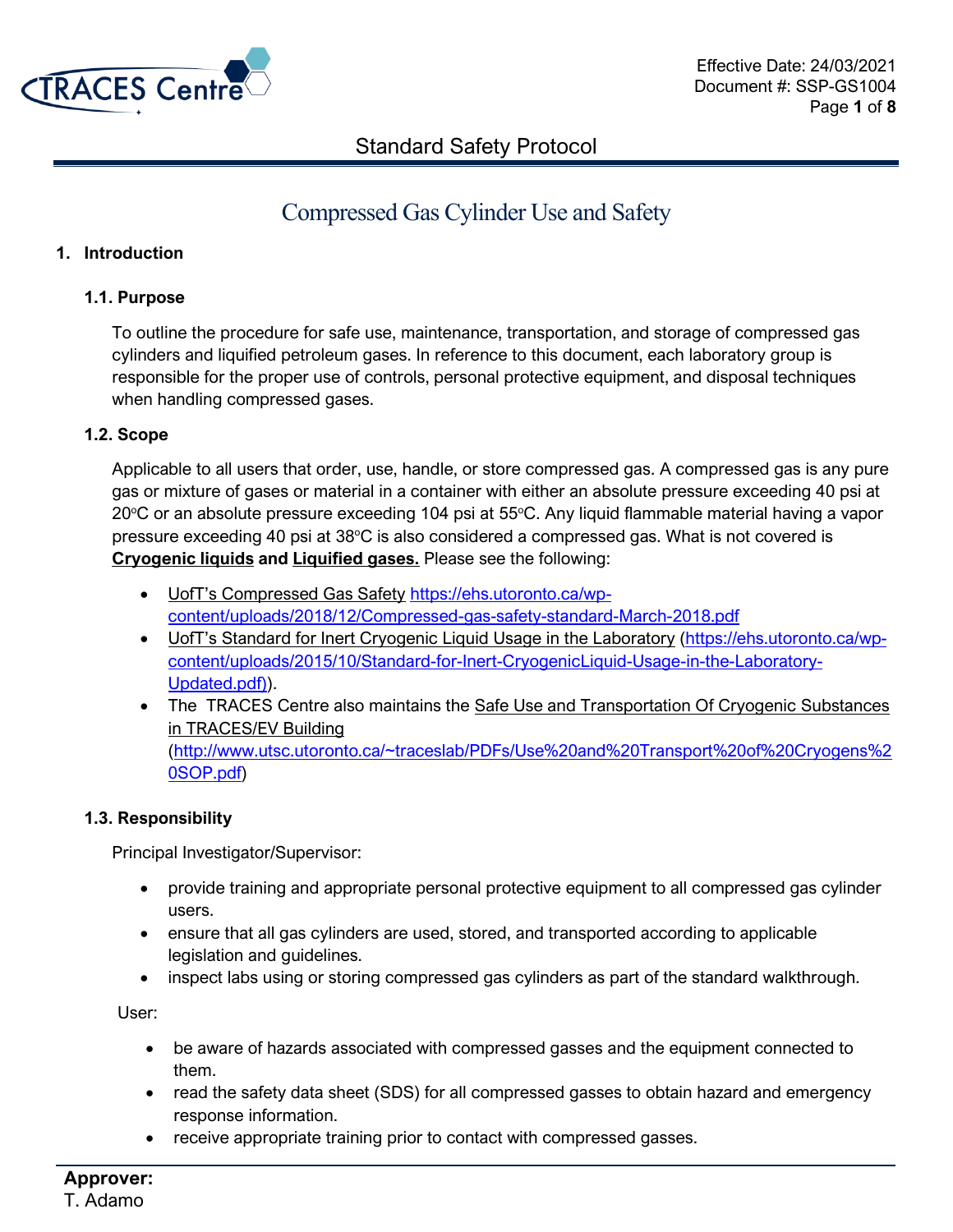

# Compressed Gas Cylinder Use and Safety

### **1. Introduction**

#### **1.1. Purpose**

To outline the procedure for safe use, maintenance, transportation, and storage of compressed gas cylinders and liquified petroleum gases. In reference to this document, each laboratory group is responsible for the proper use of controls, personal protective equipment, and disposal techniques when handling compressed gases.

### **1.2. Scope**

Applicable to all users that order, use, handle, or store compressed gas. A compressed gas is any pure gas or mixture of gases or material in a container with either an absolute pressure exceeding 40 psi at  $20^{\circ}$ C or an absolute pressure exceeding 104 psi at 55 $^{\circ}$ C. Any liquid flammable material having a vapor pressure exceeding 40 psi at  $38^{\circ}$ C is also considered a compressed gas. What is not covered is **Cryogenic liquids and Liquified gases.** Please see the following:

- UofT's Compressed Gas Safety [https://ehs.utoronto.ca/wp](https://ehs.utoronto.ca/wp-content/uploads/2018/12/Compressed-gas-safety-standard-March-2018.pdf)[content/uploads/2018/12/Compressed-gas-safety-standard-March-2018.pdf](https://ehs.utoronto.ca/wp-content/uploads/2018/12/Compressed-gas-safety-standard-March-2018.pdf)
- UofT's Standard for Inert Cryogenic Liquid Usage in the Laboratory [\(https://ehs.utoronto.ca/wp](https://ehs.utoronto.ca/wp-content/uploads/2015/10/Standard-for-Inert-CryogenicLiquid-Usage-in-the-Laboratory-Updated.pdf))[content/uploads/2015/10/Standard-for-Inert-CryogenicLiquid-Usage-in-the-Laboratory-](https://ehs.utoronto.ca/wp-content/uploads/2015/10/Standard-for-Inert-CryogenicLiquid-Usage-in-the-Laboratory-Updated.pdf))[Updated.pdf\)\)](https://ehs.utoronto.ca/wp-content/uploads/2015/10/Standard-for-Inert-CryogenicLiquid-Usage-in-the-Laboratory-Updated.pdf)).
- The TRACES Centre also maintains the Safe Use and Transportation Of Cryogenic Substances in TRACES/EV Building [\(http://www.utsc.utoronto.ca/~traceslab/PDFs/Use%20and%20Transport%20of%20Cryogens%2](http://www.utsc.utoronto.ca/~traceslab/PDFs/Use%20and%20Transport%20of%20Cryogens%20SOP.pdf) [0SOP.pdf\)](http://www.utsc.utoronto.ca/~traceslab/PDFs/Use%20and%20Transport%20of%20Cryogens%20SOP.pdf)

#### **1.3. Responsibility**

Principal Investigator/Supervisor:

- provide training and appropriate personal protective equipment to all compressed gas cylinder users.
- ensure that all gas cylinders are used, stored, and transported according to applicable legislation and guidelines.
- inspect labs using or storing compressed gas cylinders as part of the standard walkthrough.

User:

- be aware of hazards associated with compressed gasses and the equipment connected to them.
- read the safety data sheet (SDS) for all compressed gasses to obtain hazard and emergency response information.
- receive appropriate training prior to contact with compressed gasses.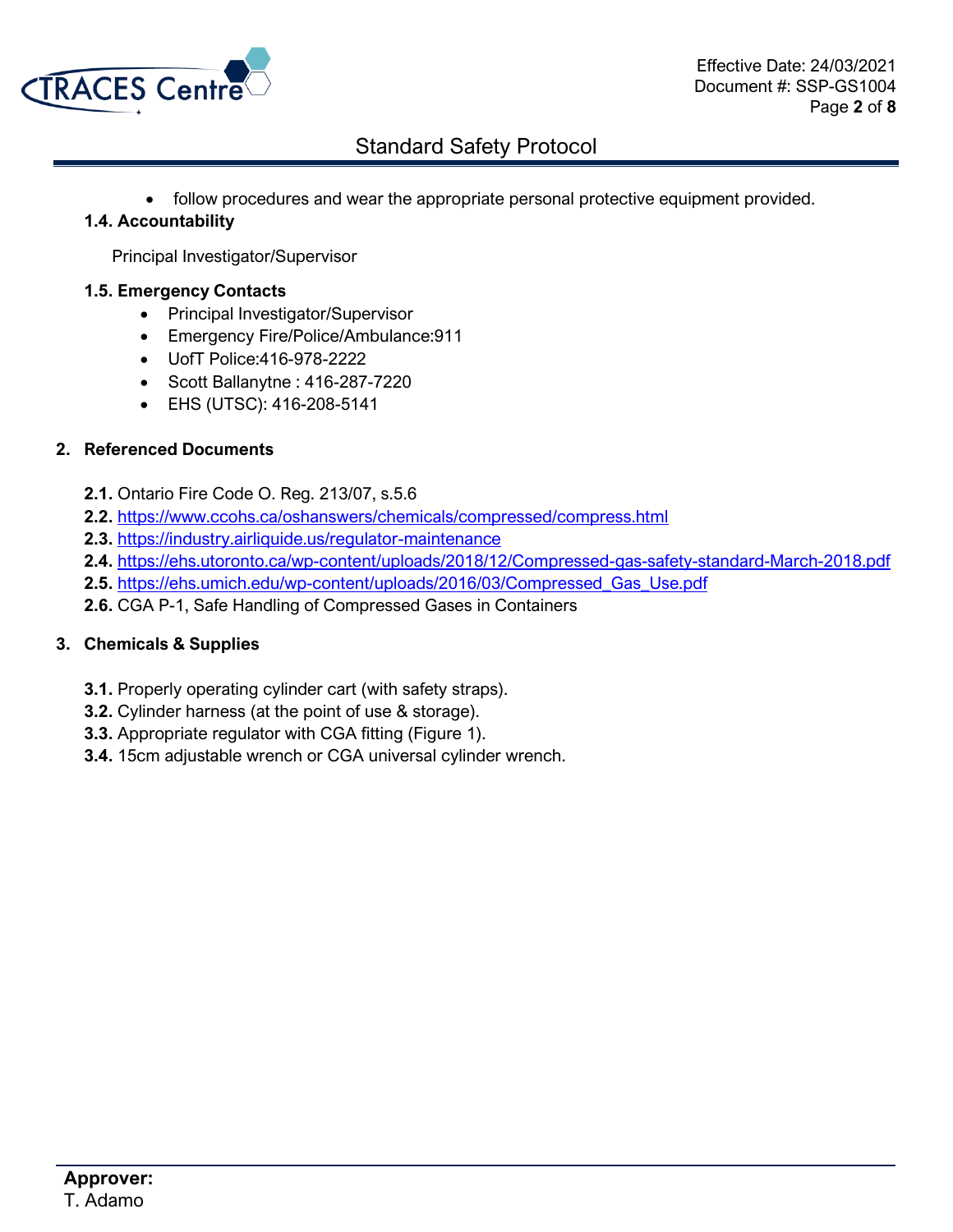

• follow procedures and wear the appropriate personal protective equipment provided.

### **1.4. Accountability**

Principal Investigator/Supervisor

#### **1.5. Emergency Contacts**

- Principal Investigator/Supervisor
- Emergency Fire/Police/Ambulance:911
- UofT Police:416-978-2222
- Scott Ballanytne : 416-287-7220
- EHS (UTSC): 416-208-5141

### **2. Referenced Documents**

- **2.1.** Ontario Fire Code O. Reg. 213/07, s.5.6
- **2.2.** <https://www.ccohs.ca/oshanswers/chemicals/compressed/compress.html>
- **2.3.** <https://industry.airliquide.us/regulator-maintenance>
- **2.4.** <https://ehs.utoronto.ca/wp-content/uploads/2018/12/Compressed-gas-safety-standard-March-2018.pdf>
- **2.5.** [https://ehs.umich.edu/wp-content/uploads/2016/03/Compressed\\_Gas\\_Use.pdf](https://ehs.umich.edu/wp-content/uploads/2016/03/Compressed_Gas_Use.pdf)
- **2.6.** CGA P-1, Safe Handling of Compressed Gases in Containers

### **3. Chemicals & Supplies**

- **3.1.** Properly operating cylinder cart (with safety straps).
- **3.2.** Cylinder harness (at the point of use & storage).
- **3.3.** Appropriate regulator with CGA fitting (Figure 1).
- **3.4.** 15cm adjustable wrench or CGA universal cylinder wrench.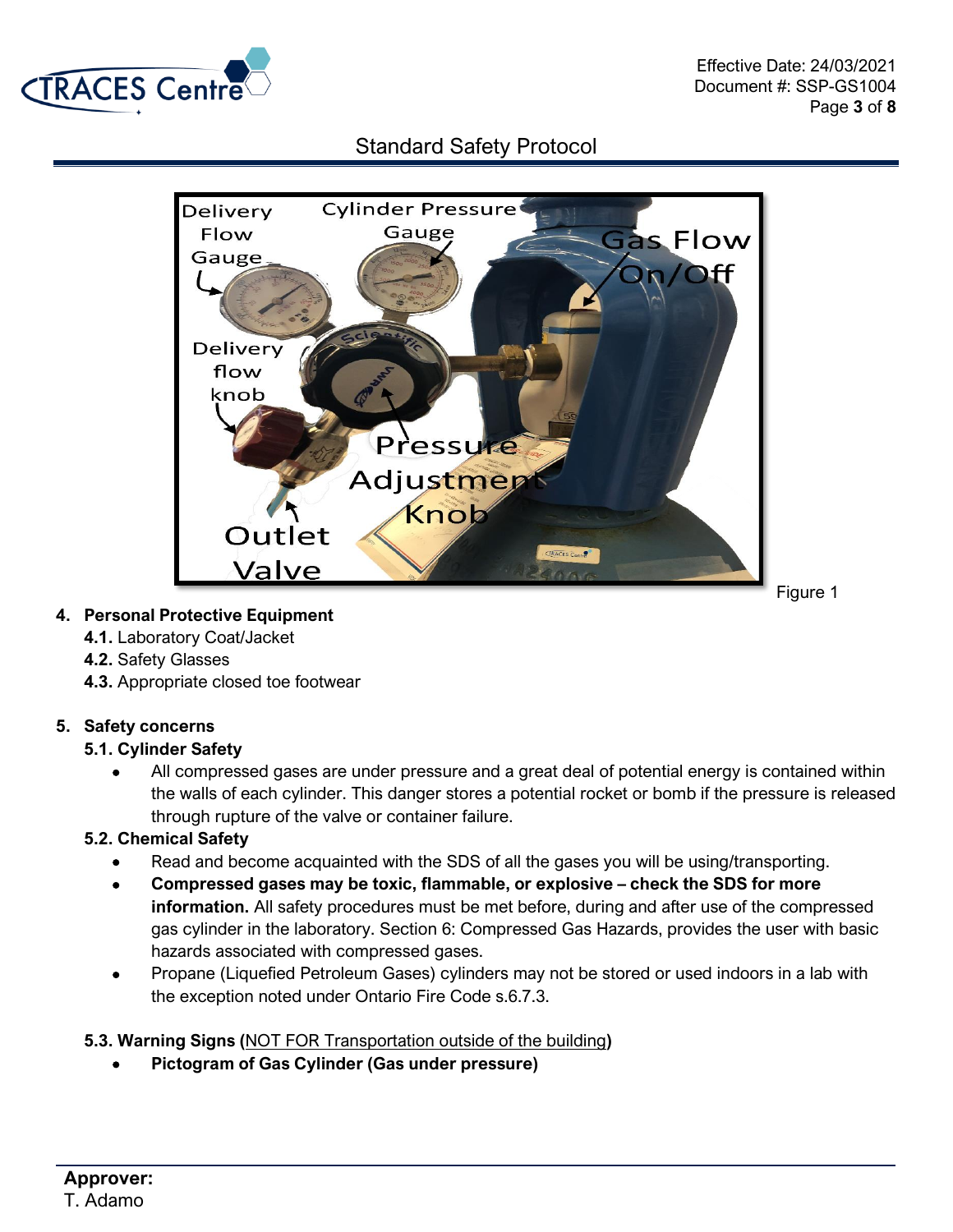



## **4. Personal Protective Equipment**

- **4.1.** Laboratory Coat/Jacket
- **4.2.** Safety Glasses
- **4.3.** Appropriate closed toe footwear

## **5. Safety concerns**

### **5.1. Cylinder Safety**

• All compressed gases are under pressure and a great deal of potential energy is contained within the walls of each cylinder. This danger stores a potential rocket or bomb if the pressure is released through rupture of the valve or container failure.

## **5.2. Chemical Safety**

- Read and become acquainted with the SDS of all the gases you will be using/transporting.
- **Compressed gases may be toxic, flammable, or explosive – check the SDS for more information.** All safety procedures must be met before, during and after use of the compressed gas cylinder in the laboratory. Section 6: Compressed Gas Hazards, provides the user with basic hazards associated with compressed gases.
- Propane (Liquefied Petroleum Gases) cylinders may not be stored or used indoors in a lab with the exception noted under Ontario Fire Code s.6.7.3.

## **5.3. Warning Signs (**NOT FOR Transportation outside of the building**)**

• **Pictogram of Gas Cylinder (Gas under pressure)**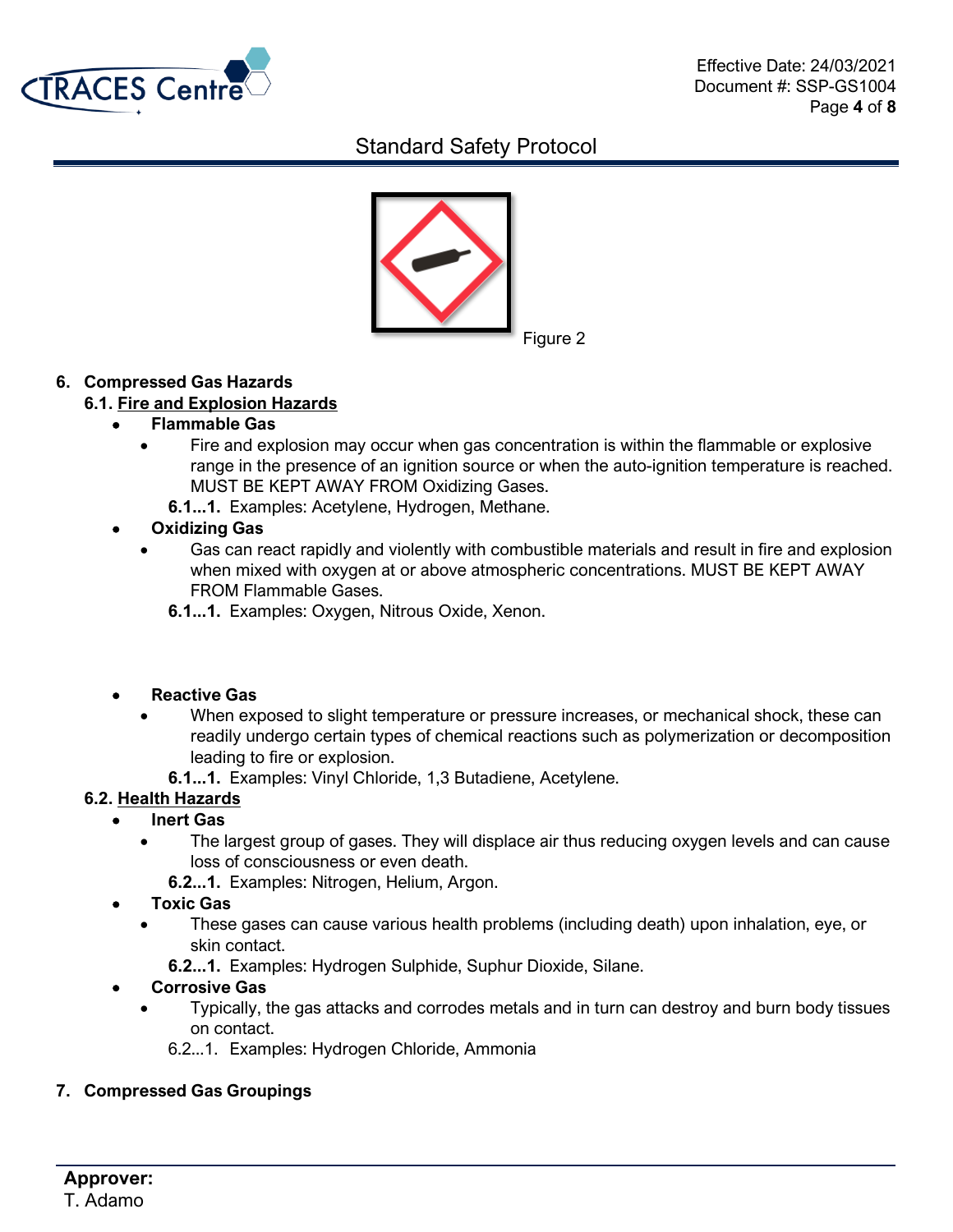



## **6. Compressed Gas Hazards**

## **6.1. Fire and Explosion Hazards**

## • **Flammable Gas**

- Fire and explosion may occur when gas concentration is within the flammable or explosive range in the presence of an ignition source or when the auto-ignition temperature is reached. MUST BE KEPT AWAY FROM Oxidizing Gases.
	- **6.1...1.** Examples: Acetylene, Hydrogen, Methane.

## • **Oxidizing Gas**

- Gas can react rapidly and violently with combustible materials and result in fire and explosion when mixed with oxygen at or above atmospheric concentrations. MUST BE KEPT AWAY FROM Flammable Gases.
	- **6.1...1.** Examples: Oxygen, Nitrous Oxide, Xenon.

## • **Reactive Gas**

- When exposed to slight temperature or pressure increases, or mechanical shock, these can readily undergo certain types of chemical reactions such as polymerization or decomposition leading to fire or explosion.
	- **6.1...1.** Examples: Vinyl Chloride, 1,3 Butadiene, Acetylene.

## **6.2. Health Hazards**

- **Inert Gas**
	- The largest group of gases. They will displace air thus reducing oxygen levels and can cause loss of consciousness or even death.
		- **6.2...1.** Examples: Nitrogen, Helium, Argon.
- **Toxic Gas**
	- These gases can cause various health problems (including death) upon inhalation, eye, or skin contact.
		- **6.2...1.** Examples: Hydrogen Sulphide, Suphur Dioxide, Silane.

## • **Corrosive Gas**

- Typically, the gas attacks and corrodes metals and in turn can destroy and burn body tissues on contact.
	- 6.2...1. Examples: Hydrogen Chloride, Ammonia

## **7. Compressed Gas Groupings**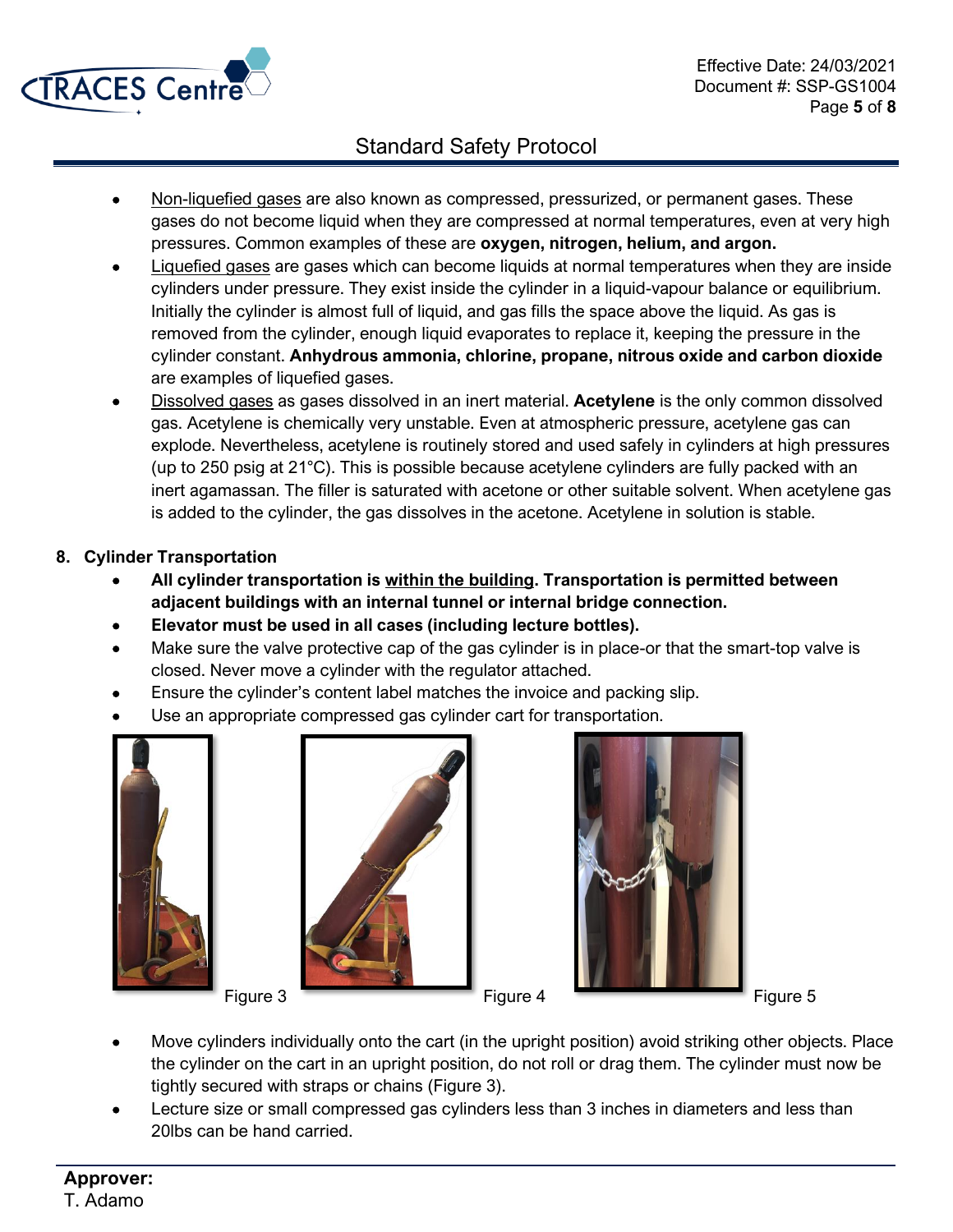

- Non-liquefied gases are also known as compressed, pressurized, or permanent gases. These gases do not become liquid when they are compressed at normal temperatures, even at very high pressures. Common examples of these are **oxygen, nitrogen, helium, and argon.**
- Liquefied gases are gases which can become liquids at normal temperatures when they are inside cylinders under pressure. They exist inside the cylinder in a liquid-vapour balance or equilibrium. Initially the cylinder is almost full of liquid, and gas fills the space above the liquid. As gas is removed from the cylinder, enough liquid evaporates to replace it, keeping the pressure in the cylinder constant. **Anhydrous ammonia, chlorine, propane, nitrous oxide and carbon dioxide** are examples of liquefied gases.
- Dissolved gases as gases dissolved in an inert material. **Acetylene** is the only common dissolved gas. Acetylene is chemically very unstable. Even at atmospheric pressure, acetylene gas can explode. Nevertheless, acetylene is routinely stored and used safely in cylinders at high pressures (up to 250 psig at 21°C). This is possible because acetylene cylinders are fully packed with an inert agamassan. The filler is saturated with acetone or other suitable solvent. When acetylene gas is added to the cylinder, the gas dissolves in the acetone. Acetylene in solution is stable.
- **8. Cylinder Transportation**
	- **All cylinder transportation is within the building. Transportation is permitted between adjacent buildings with an internal tunnel or internal bridge connection.**
	- **Elevator must be used in all cases (including lecture bottles).**
	- Make sure the valve protective cap of the gas cylinder is in place-or that the smart-top valve is closed. Never move a cylinder with the regulator attached.
	- Ensure the cylinder's content label matches the invoice and packing slip.
	- Use an appropriate compressed gas cylinder cart for transportation.







- Move cylinders individually onto the cart (in the upright position) avoid striking other objects. Place the cylinder on the cart in an upright position, do not roll or drag them. The cylinder must now be tightly secured with straps or chains (Figure 3).
- Lecture size or small compressed gas cylinders less than 3 inches in diameters and less than 20lbs can be hand carried.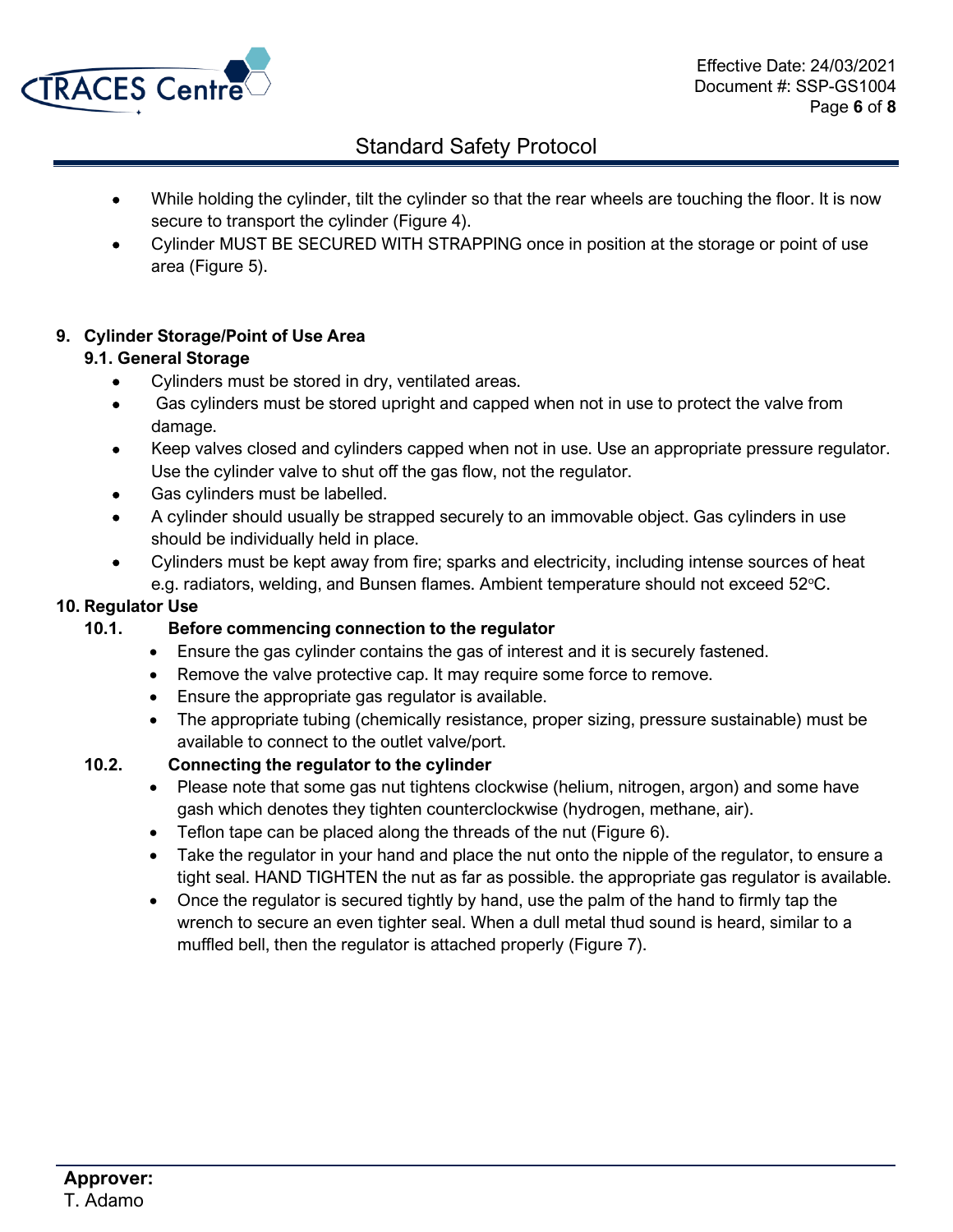

- While holding the cylinder, tilt the cylinder so that the rear wheels are touching the floor. It is now secure to transport the cylinder (Figure 4).
- Cylinder MUST BE SECURED WITH STRAPPING once in position at the storage or point of use area (Figure 5).

## **9. Cylinder Storage/Point of Use Area**

## **9.1. General Storage**

- Cylinders must be stored in dry, ventilated areas.
- Gas cylinders must be stored upright and capped when not in use to protect the valve from damage.
- Keep valves closed and cylinders capped when not in use. Use an appropriate pressure regulator. Use the cylinder valve to shut off the gas flow, not the regulator.
- Gas cylinders must be labelled.
- A cylinder should usually be strapped securely to an immovable object. Gas cylinders in use should be individually held in place.
- Cylinders must be kept away from fire; sparks and electricity, including intense sources of heat e.g. radiators, welding, and Bunsen flames. Ambient temperature should not exceed 52°C.

### **10. Regulator Use**

- **10.1. Before commencing connection to the regulator**
	- Ensure the gas cylinder contains the gas of interest and it is securely fastened.
	- Remove the valve protective cap. It may require some force to remove.
	- Ensure the appropriate gas regulator is available.
	- The appropriate tubing (chemically resistance, proper sizing, pressure sustainable) must be available to connect to the outlet valve/port.

## **10.2. Connecting the regulator to the cylinder**

- Please note that some gas nut tightens clockwise (helium, nitrogen, argon) and some have gash which denotes they tighten counterclockwise (hydrogen, methane, air).
- Teflon tape can be placed along the threads of the nut (Figure 6).
- Take the regulator in your hand and place the nut onto the nipple of the regulator, to ensure a tight seal. HAND TIGHTEN the nut as far as possible. the appropriate gas regulator is available.
- Once the regulator is secured tightly by hand, use the palm of the hand to firmly tap the wrench to secure an even tighter seal. When a dull metal thud sound is heard, similar to a muffled bell, then the regulator is attached properly (Figure 7).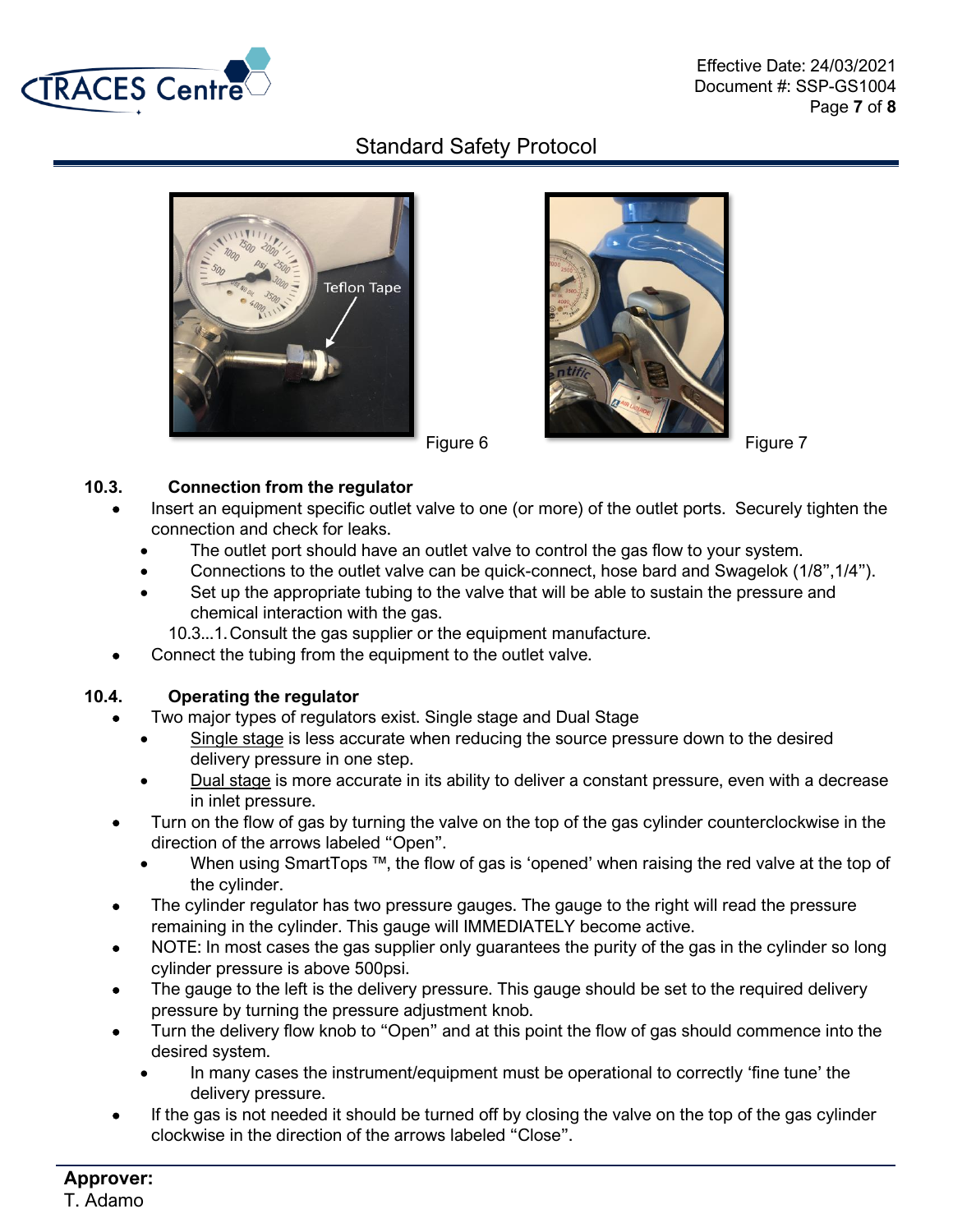





### **10.3. Connection from the regulator**

- Insert an equipment specific outlet valve to one (or more) of the outlet ports. Securely tighten the connection and check for leaks.
	- The outlet port should have an outlet valve to control the gas flow to your system.
	- Connections to the outlet valve can be quick-connect, hose bard and Swagelok (1/8",1/4").
	- Set up the appropriate tubing to the valve that will be able to sustain the pressure and chemical interaction with the gas.
		- 10.3...1.Consult the gas supplier or the equipment manufacture.
- Connect the tubing from the equipment to the outlet valve.

### **10.4. Operating the regulator**

- Two major types of regulators exist. Single stage and Dual Stage
	- Single stage is less accurate when reducing the source pressure down to the desired delivery pressure in one step.
	- Dual stage is more accurate in its ability to deliver a constant pressure, even with a decrease in inlet pressure.
- Turn on the flow of gas by turning the valve on the top of the gas cylinder counterclockwise in the direction of the arrows labeled "Open".
	- When using SmartTops ™, the flow of gas is 'opened' when raising the red valve at the top of the cylinder.
- The cylinder regulator has two pressure gauges. The gauge to the right will read the pressure remaining in the cylinder. This gauge will IMMEDIATELY become active.
- NOTE: In most cases the gas supplier only guarantees the purity of the gas in the cylinder so long cylinder pressure is above 500psi.
- The gauge to the left is the delivery pressure. This gauge should be set to the required delivery pressure by turning the pressure adjustment knob.
- Turn the delivery flow knob to "Open" and at this point the flow of gas should commence into the desired system.
	- In many cases the instrument/equipment must be operational to correctly 'fine tune' the delivery pressure.
- If the gas is not needed it should be turned off by closing the valve on the top of the gas cylinder clockwise in the direction of the arrows labeled "Close".